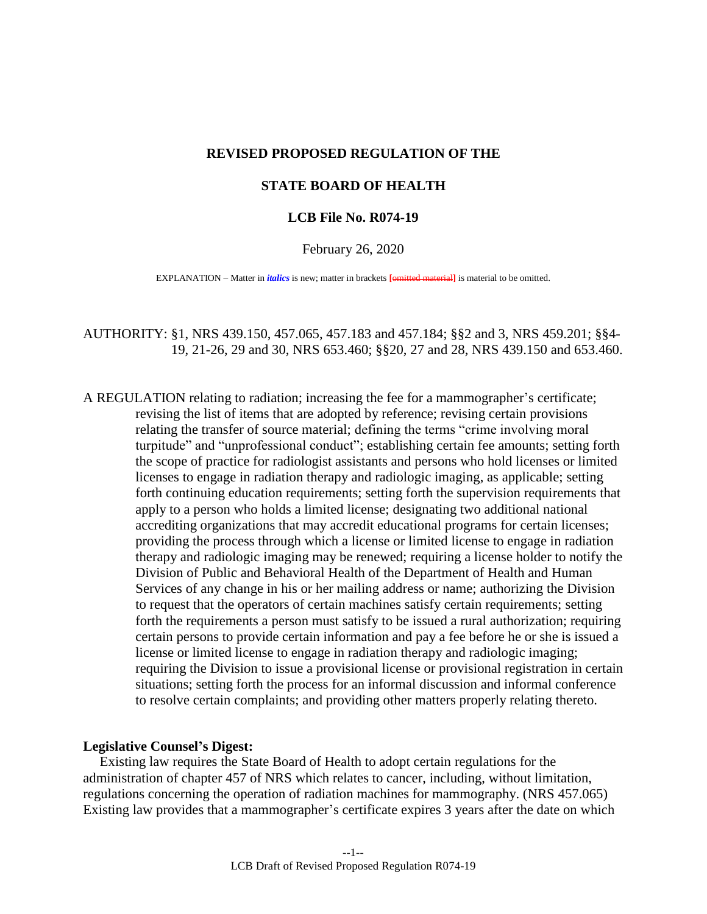# **REVISED PROPOSED REGULATION OF THE**

## **STATE BOARD OF HEALTH**

## **LCB File No. R074-19**

### February 26, 2020

EXPLANATION – Matter in *italics* is new; matter in brackets **[**omitted material**]** is material to be omitted.

AUTHORITY: [§1,](#page-4-0) NRS 439.150, 457.065, 457.183 and 457.184; §[§2](#page-4-1) and [3,](#page-6-0) NRS 459.201; §[§4-](#page-10-0) [19,](#page-13-0) [21-](#page-15-0)[26,](#page-23-0) [29](#page-25-0) and [30,](#page-26-0) NRS 653.460; §[§20,](#page-14-0) [27](#page-23-1) and [28,](#page-24-0) NRS 439.150 and 653.460.

A REGULATION relating to radiation; increasing the fee for a mammographer's certificate; revising the list of items that are adopted by reference; revising certain provisions relating the transfer of source material; defining the terms "crime involving moral turpitude" and "unprofessional conduct"; establishing certain fee amounts; setting forth the scope of practice for radiologist assistants and persons who hold licenses or limited licenses to engage in radiation therapy and radiologic imaging, as applicable; setting forth continuing education requirements; setting forth the supervision requirements that apply to a person who holds a limited license; designating two additional national accrediting organizations that may accredit educational programs for certain licenses; providing the process through which a license or limited license to engage in radiation therapy and radiologic imaging may be renewed; requiring a license holder to notify the Division of Public and Behavioral Health of the Department of Health and Human Services of any change in his or her mailing address or name; authorizing the Division to request that the operators of certain machines satisfy certain requirements; setting forth the requirements a person must satisfy to be issued a rural authorization; requiring certain persons to provide certain information and pay a fee before he or she is issued a license or limited license to engage in radiation therapy and radiologic imaging; requiring the Division to issue a provisional license or provisional registration in certain situations; setting forth the process for an informal discussion and informal conference to resolve certain complaints; and providing other matters properly relating thereto.

### **Legislative Counsel's Digest:**

 Existing law requires the State Board of Health to adopt certain regulations for the administration of chapter 457 of NRS which relates to cancer, including, without limitation, regulations concerning the operation of radiation machines for mammography. (NRS 457.065) Existing law provides that a mammographer's certificate expires 3 years after the date on which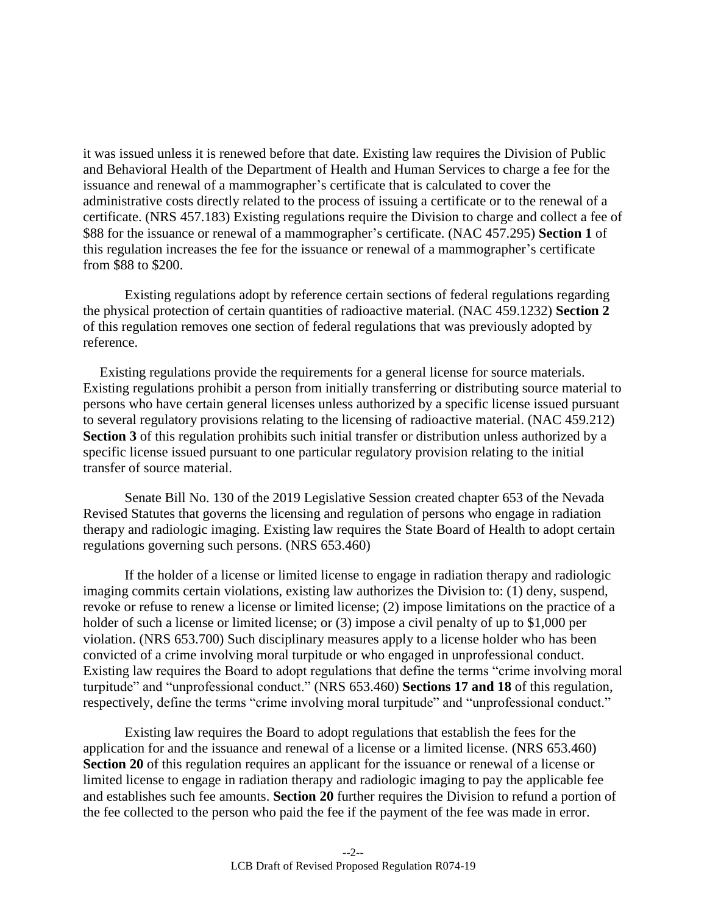it was issued unless it is renewed before that date. Existing law requires the Division of Public and Behavioral Health of the Department of Health and Human Services to charge a fee for the issuance and renewal of a mammographer's certificate that is calculated to cover the administrative costs directly related to the process of issuing a certificate or to the renewal of a certificate. (NRS 457.183) Existing regulations require the Division to charge and collect a fee of \$88 for the issuance or renewal of a mammographer's certificate. (NAC 457.295) **Section [1](#page-4-0)** of this regulation increases the fee for the issuance or renewal of a mammographer's certificate from \$88 to \$200.

 Existing regulations adopt by reference certain sections of federal regulations regarding the physical protection of certain quantities of radioactive material. (NAC 459.1232) **Section [2](#page-4-1)** of this regulation removes one section of federal regulations that was previously adopted by reference.

 Existing regulations provide the requirements for a general license for source materials. Existing regulations prohibit a person from initially transferring or distributing source material to persons who have certain general licenses unless authorized by a specific license issued pursuant to several regulatory provisions relating to the licensing of radioactive material. (NAC 459.212) **Section [3](#page-6-0)** of this regulation prohibits such initial transfer or distribution unless authorized by a specific license issued pursuant to one particular regulatory provision relating to the initial transfer of source material.

 Senate Bill No. 130 of the 2019 Legislative Session created chapter 653 of the Nevada Revised Statutes that governs the licensing and regulation of persons who engage in radiation therapy and radiologic imaging. Existing law requires the State Board of Health to adopt certain regulations governing such persons. (NRS 653.460)

 If the holder of a license or limited license to engage in radiation therapy and radiologic imaging commits certain violations, existing law authorizes the Division to: (1) deny, suspend, revoke or refuse to renew a license or limited license; (2) impose limitations on the practice of a holder of such a license or limited license; or (3) impose a civil penalty of up to \$1,000 per violation. (NRS 653.700) Such disciplinary measures apply to a license holder who has been convicted of a crime involving moral turpitude or who engaged in unprofessional conduct. Existing law requires the Board to adopt regulations that define the terms "crime involving moral turpitude" and "unprofessional conduct." (NRS 653.460) **Sections [17](#page-12-0) and [18](#page-13-1)** of this regulation, respectively, define the terms "crime involving moral turpitude" and "unprofessional conduct."

 Existing law requires the Board to adopt regulations that establish the fees for the application for and the issuance and renewal of a license or a limited license. (NRS 653.460) **Section [20](#page-14-0)** of this regulation requires an applicant for the issuance or renewal of a license or limited license to engage in radiation therapy and radiologic imaging to pay the applicable fee and establishes such fee amounts. **Section [20](#page-14-0)** further requires the Division to refund a portion of the fee collected to the person who paid the fee if the payment of the fee was made in error.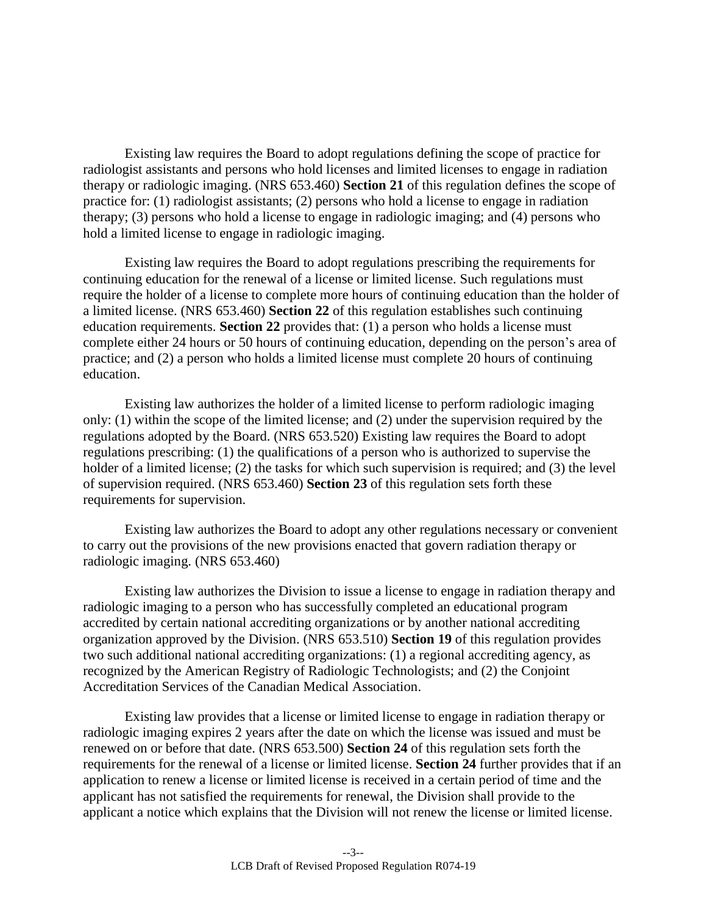Existing law requires the Board to adopt regulations defining the scope of practice for radiologist assistants and persons who hold licenses and limited licenses to engage in radiation therapy or radiologic imaging. (NRS 653.460) **Section [21](#page-15-0)** of this regulation defines the scope of practice for: (1) radiologist assistants; (2) persons who hold a license to engage in radiation therapy; (3) persons who hold a license to engage in radiologic imaging; and (4) persons who hold a limited license to engage in radiologic imaging.

 Existing law requires the Board to adopt regulations prescribing the requirements for continuing education for the renewal of a license or limited license. Such regulations must require the holder of a license to complete more hours of continuing education than the holder of a limited license. (NRS 653.460) **Section [22](#page-17-0)** of this regulation establishes such continuing education requirements. **Section [22](#page-17-0)** provides that: (1) a person who holds a license must complete either 24 hours or 50 hours of continuing education, depending on the person's area of practice; and (2) a person who holds a limited license must complete 20 hours of continuing education.

 Existing law authorizes the holder of a limited license to perform radiologic imaging only: (1) within the scope of the limited license; and (2) under the supervision required by the regulations adopted by the Board. (NRS 653.520) Existing law requires the Board to adopt regulations prescribing: (1) the qualifications of a person who is authorized to supervise the holder of a limited license; (2) the tasks for which such supervision is required; and (3) the level of supervision required. (NRS 653.460) **Section [23](#page-20-0)** of this regulation sets forth these requirements for supervision.

Existing law authorizes the Board to adopt any other regulations necessary or convenient to carry out the provisions of the new provisions enacted that govern radiation therapy or radiologic imaging. (NRS 653.460)

 Existing law authorizes the Division to issue a license to engage in radiation therapy and radiologic imaging to a person who has successfully completed an educational program accredited by certain national accrediting organizations or by another national accrediting organization approved by the Division. (NRS 653.510) **Section [19](#page-13-0)** of this regulation provides two such additional national accrediting organizations: (1) a regional accrediting agency, as recognized by the American Registry of Radiologic Technologists; and (2) the Conjoint Accreditation Services of the Canadian Medical Association.

 Existing law provides that a license or limited license to engage in radiation therapy or radiologic imaging expires 2 years after the date on which the license was issued and must be renewed on or before that date. (NRS 653.500) **Section [24](#page-20-1)** of this regulation sets forth the requirements for the renewal of a license or limited license. **Section [24](#page-20-1)** further provides that if an application to renew a license or limited license is received in a certain period of time and the applicant has not satisfied the requirements for renewal, the Division shall provide to the applicant a notice which explains that the Division will not renew the license or limited license.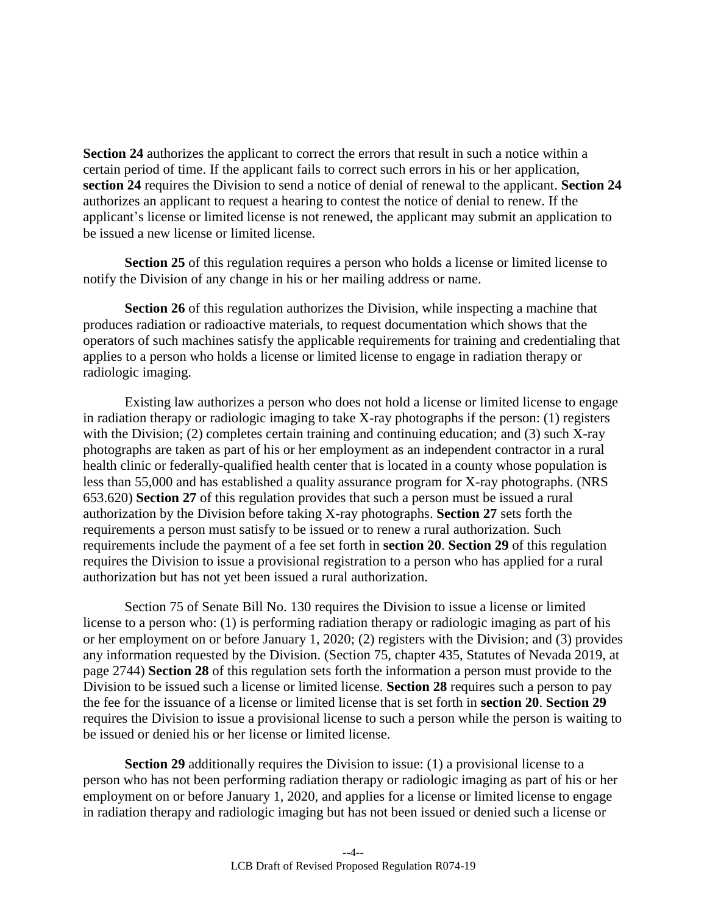**Section [24](#page-20-1)** authorizes the applicant to correct the errors that result in such a notice within a certain period of time. If the applicant fails to correct such errors in his or her application, **section [24](#page-20-1)** requires the Division to send a notice of denial of renewal to the applicant. **Section [24](#page-20-1)** authorizes an applicant to request a hearing to contest the notice of denial to renew. If the applicant's license or limited license is not renewed, the applicant may submit an application to be issued a new license or limited license.

**Section [25](#page-22-0)** of this regulation requires a person who holds a license or limited license to notify the Division of any change in his or her mailing address or name.

**Section [26](#page-23-0)** of this regulation authorizes the Division, while inspecting a machine that produces radiation or radioactive materials, to request documentation which shows that the operators of such machines satisfy the applicable requirements for training and credentialing that applies to a person who holds a license or limited license to engage in radiation therapy or radiologic imaging.

 Existing law authorizes a person who does not hold a license or limited license to enga ge in radiation therapy or radiologic imaging to take X-ray photographs if the person: (1) register s with the Division; (2) completes certain training and continuing education; and (3) such X-ray photographs are taken as part of his or her employment as an independent contractor in a rural health clinic or federally-qualified health center that is located in a county whose population i s less than 55,000 and has established a quality assurance program for X-ray photographs. (NR S 653.620) **Section [27](#page-23-1)** of this regulation provides that such a person must be issued a rural authorization by the Division before taking X-ray photographs. **Section [27](#page-23-1)** sets forth the requirements a person must satisfy to be issued or to renew a rural authorization. Such requirements include the payment of a fee set forth in **section [20](#page-14-0)**. **Section [29](#page-25-0)** of this regulatio n requires the Division to issue a provisional registration to a person who has applied for a rural authorization but has not yet been issued a rural authorization.

 Section 75 of Senate Bill No. 130 requires the Division to issue a license or limited license to a person who: (1) is performing radiation therapy or radiologic imaging as part of his or her employment on or before January 1, 2020; (2) registers with the Division; and (3) provides any information requested by the Division. (Section 75, chapter 435, Statutes of Nevada 2019, at page 2744) **Section [28](#page-24-0)** of this regulation sets forth the information a person must provide to the Division to be issued such a license or limited license. **Section [28](#page-24-0)** requires such a person to pay the fee for the issuance of a license or limited license that is set forth in **section [20](#page-14-0)**. **Section [29](#page-25-0)** requires the Division to issue a provisional license to such a person while the person is waiting to be issued or denied his or her license or limited license.

**Section [29](#page-25-0)** additionally requires the Division to issue: (1) a provisional license to a person who has not been performing radiation therapy or radiologic imaging as part of his or her employment on or before January 1, 2020, and applies for a license or limited license to engage in radiation therapy and radiologic imaging but has not been issued or denied such a license or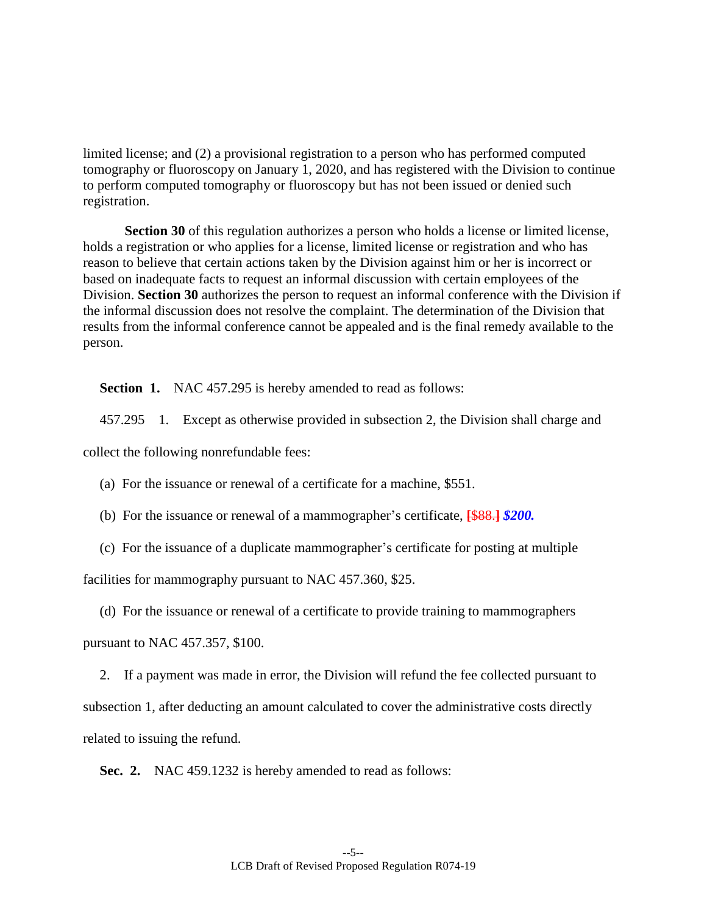limited license; and (2) a provisional registration to a person who has performed computed tomography or fluoroscopy on January 1, 2020, and has registered with the Division to continue to perform computed tomography or fluoroscopy but has not been issued or denied such registration.

**Section [30](#page-26-0)** of this regulation authorizes a person who holds a license or limited license, holds a registration or who applies for a license, limited license or registration and who has reason to believe that certain actions taken by the Division against him or her is incorrect or based on inadequate facts to request an informal discussion with certain employees of the Division. **Section [30](#page-26-0)** authorizes the person to request an informal conference with the Division if the informal discussion does not resolve the complaint. The determination of the Division that results from the informal conference cannot be appealed and is the final remedy available to the person.

<span id="page-4-0"></span>**Section 1.** NAC 457.295 is hereby amended to read as follows:

457.295 1. Except as otherwise provided in subsection 2, the Division shall charge and

collect the following nonrefundable fees:

(a) For the issuance or renewal of a certificate for a machine, \$551.

- (b) For the issuance or renewal of a mammographer's certificate, **[**\$88.**]** *\$200.*
- (c) For the issuance of a duplicate mammographer's certificate for posting at multiple

facilities for mammography pursuant to NAC 457.360, \$25.

(d) For the issuance or renewal of a certificate to provide training to mammographers

pursuant to NAC 457.357, \$100.

2. If a payment was made in error, the Division will refund the fee collected pursuant to subsection 1, after deducting an amount calculated to cover the administrative costs directly related to issuing the refund.

<span id="page-4-1"></span>**Sec. 2.** NAC 459.1232 is hereby amended to read as follows: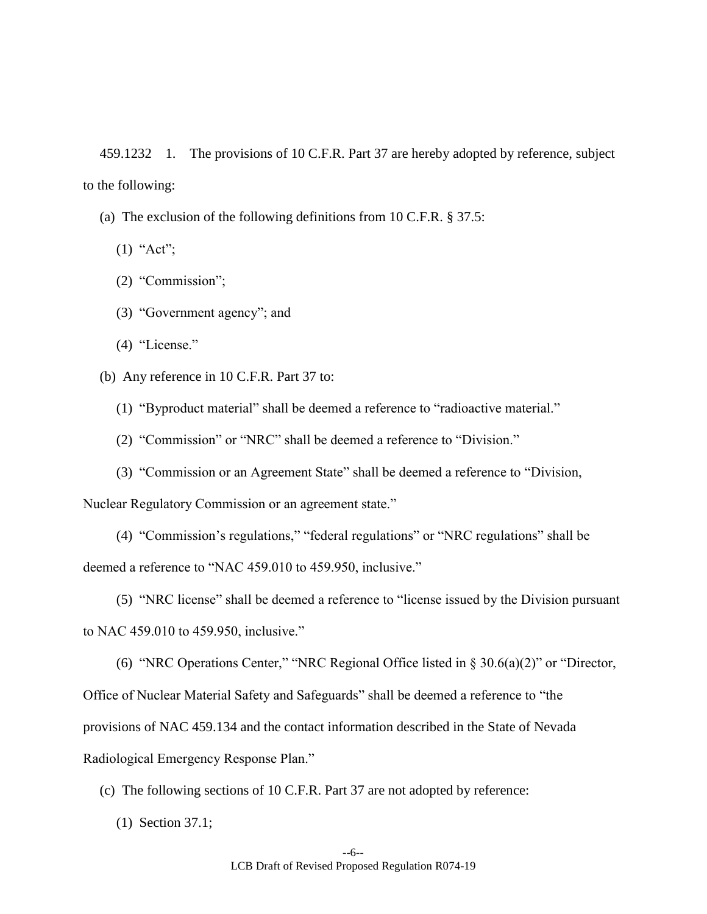459.1232 1. The provisions of 10 C.F.R. Part 37 are hereby adopted by reference, subject to the following:

- (a) The exclusion of the following definitions from 10 C.F.R. § 37.5:
	- $(1)$  "Act";
	- (2) "Commission";
	- (3) "Government agency"; and
	- (4) "License."

(b) Any reference in 10 C.F.R. Part 37 to:

- (1) "Byproduct material" shall be deemed a reference to "radioactive material."
- (2) "Commission" or "NRC" shall be deemed a reference to "Division."
- (3) "Commission or an Agreement State" shall be deemed a reference to "Division,

Nuclear Regulatory Commission or an agreement state."

(4) "Commission's regulations," "federal regulations" or "NRC regulations" shall be deemed a reference to "NAC 459.010 to 459.950, inclusive."

(5) "NRC license" shall be deemed a reference to "license issued by the Division pursuant to NAC 459.010 to 459.950, inclusive."

(6) "NRC Operations Center," "NRC Regional Office listed in § 30.6(a)(2)" or "Director, Office of Nuclear Material Safety and Safeguards" shall be deemed a reference to "the provisions of NAC 459.134 and the contact information described in the State of Nevada Radiological Emergency Response Plan."

(c) The following sections of 10 C.F.R. Part 37 are not adopted by reference:

(1) Section 37.1;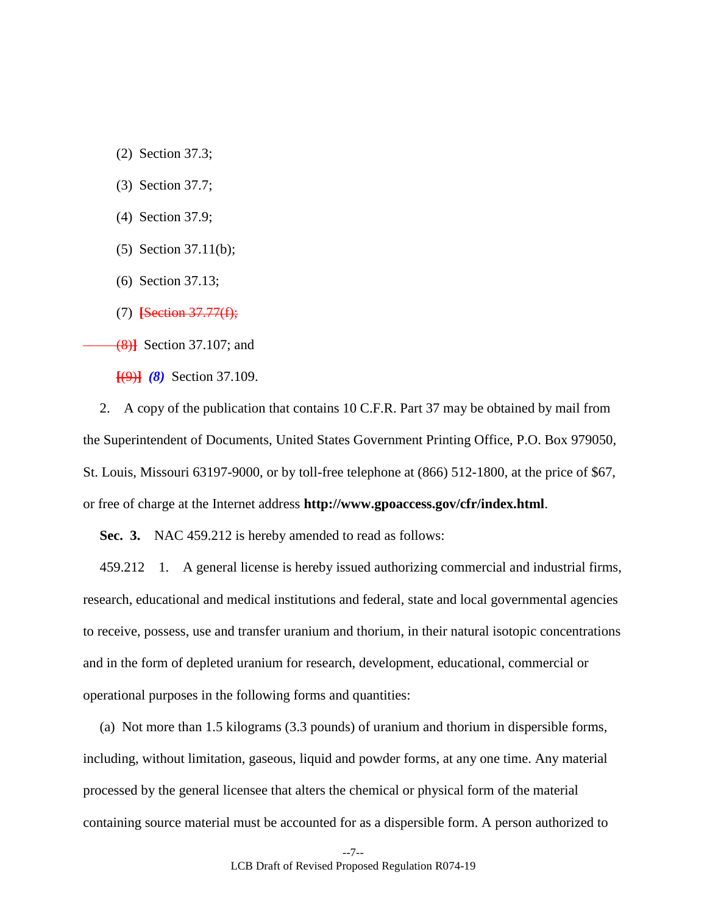- (2) Section 37.3;
- (3) Section 37.7;
- (4) Section 37.9;
- (5) Section 37.11(b);
- (6) Section 37.13;
- (7) **[**Section 37.77(f);

(8)**]** Section 37.107; and

**[**(9)**]** *(8)* Section 37.109.

2. A copy of the publication that contains 10 C.F.R. Part 37 may be obtained by mail from the Superintendent of Documents, United States Government Printing Office, P.O. Box 979050, St. Louis, Missouri 63197-9000, or by toll-free telephone at (866) 512-1800, at the price of \$67, or free of charge at the Internet address **http://www.gpoaccess.gov/cfr/index.html**.

<span id="page-6-0"></span>**Sec. 3.** NAC 459.212 is hereby amended to read as follows:

459.212 1. A general license is hereby issued authorizing commercial and industrial firms, research, educational and medical institutions and federal, state and local governmental agencies to receive, possess, use and transfer uranium and thorium, in their natural isotopic concentrations and in the form of depleted uranium for research, development, educational, commercial or operational purposes in the following forms and quantities:

(a) Not more than 1.5 kilograms (3.3 pounds) of uranium and thorium in dispersible forms, including, without limitation, gaseous, liquid and powder forms, at any one time. Any material processed by the general licensee that alters the chemical or physical form of the material containing source material must be accounted for as a dispersible form. A person authorized to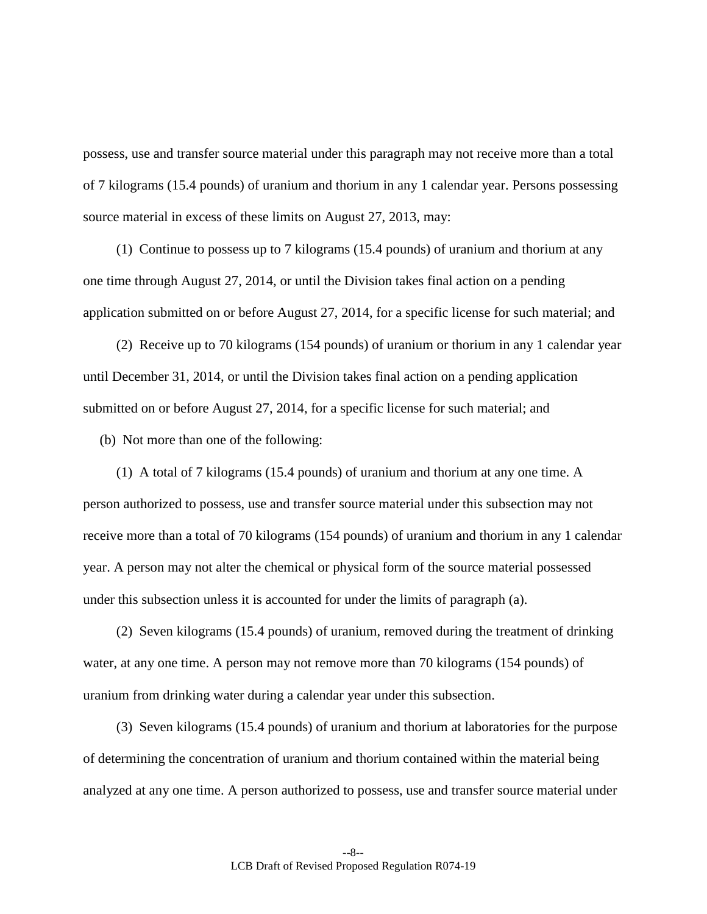possess, use and transfer source material under this paragraph may not receive more than a total of 7 kilograms (15.4 pounds) of uranium and thorium in any 1 calendar year. Persons possessing source material in excess of these limits on August 27, 2013, may:

(1) Continue to possess up to 7 kilograms (15.4 pounds) of uranium and thorium at any one time through August 27, 2014, or until the Division takes final action on a pending application submitted on or before August 27, 2014, for a specific license for such material; and

(2) Receive up to 70 kilograms (154 pounds) of uranium or thorium in any 1 calendar year until December 31, 2014, or until the Division takes final action on a pending application submitted on or before August 27, 2014, for a specific license for such material; and

(b) Not more than one of the following:

(1) A total of 7 kilograms (15.4 pounds) of uranium and thorium at any one time. A person authorized to possess, use and transfer source material under this subsection may not receive more than a total of 70 kilograms (154 pounds) of uranium and thorium in any 1 calendar year. A person may not alter the chemical or physical form of the source material possessed under this subsection unless it is accounted for under the limits of paragraph (a).

(2) Seven kilograms (15.4 pounds) of uranium, removed during the treatment of drinking water, at any one time. A person may not remove more than 70 kilograms (154 pounds) of uranium from drinking water during a calendar year under this subsection.

(3) Seven kilograms (15.4 pounds) of uranium and thorium at laboratories for the purpose of determining the concentration of uranium and thorium contained within the material being analyzed at any one time. A person authorized to possess, use and transfer source material under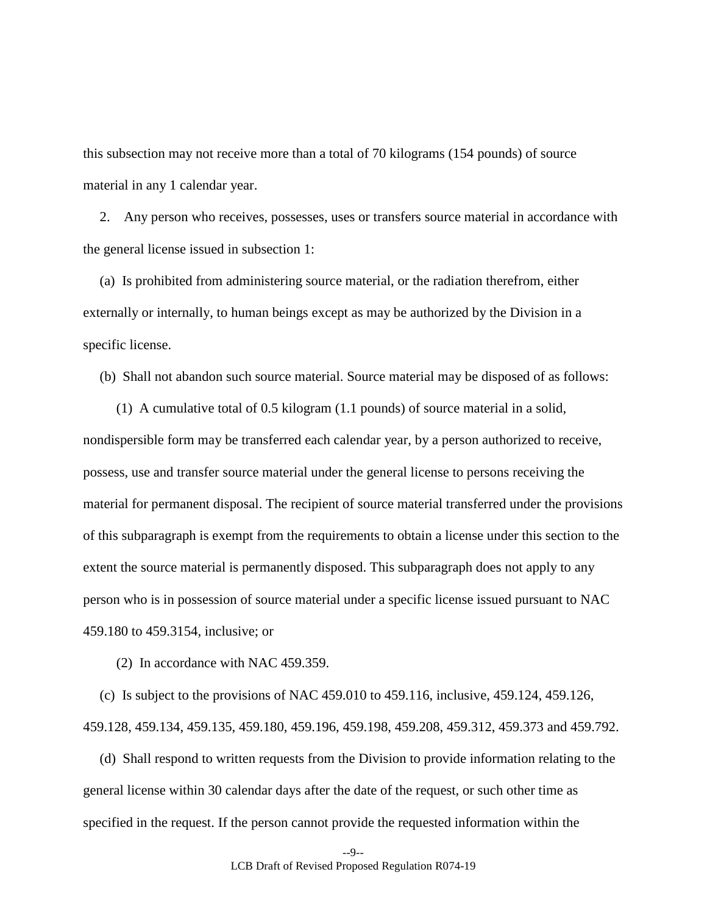this subsection may not receive more than a total of 70 kilograms (154 pounds) of source material in any 1 calendar year.

2. Any person who receives, possesses, uses or transfers source material in accordance with the general license issued in subsection 1:

(a) Is prohibited from administering source material, or the radiation therefrom, either externally or internally, to human beings except as may be authorized by the Division in a specific license.

(b) Shall not abandon such source material. Source material may be disposed of as follows:

(1) A cumulative total of 0.5 kilogram (1.1 pounds) of source material in a solid, nondispersible form may be transferred each calendar year, by a person authorized to receive, possess, use and transfer source material under the general license to persons receiving the material for permanent disposal. The recipient of source material transferred under the provisions of this subparagraph is exempt from the requirements to obtain a license under this section to the extent the source material is permanently disposed. This subparagraph does not apply to any person who is in possession of source material under a specific license issued pursuant to NAC 459.180 to 459.3154, inclusive; or

(2) In accordance with NAC 459.359.

(c) Is subject to the provisions of NAC 459.010 to 459.116, inclusive, 459.124, 459.126, 459.128, 459.134, 459.135, 459.180, 459.196, 459.198, 459.208, 459.312, 459.373 and 459.792.

(d) Shall respond to written requests from the Division to provide information relating to the general license within 30 calendar days after the date of the request, or such other time as specified in the request. If the person cannot provide the requested information within the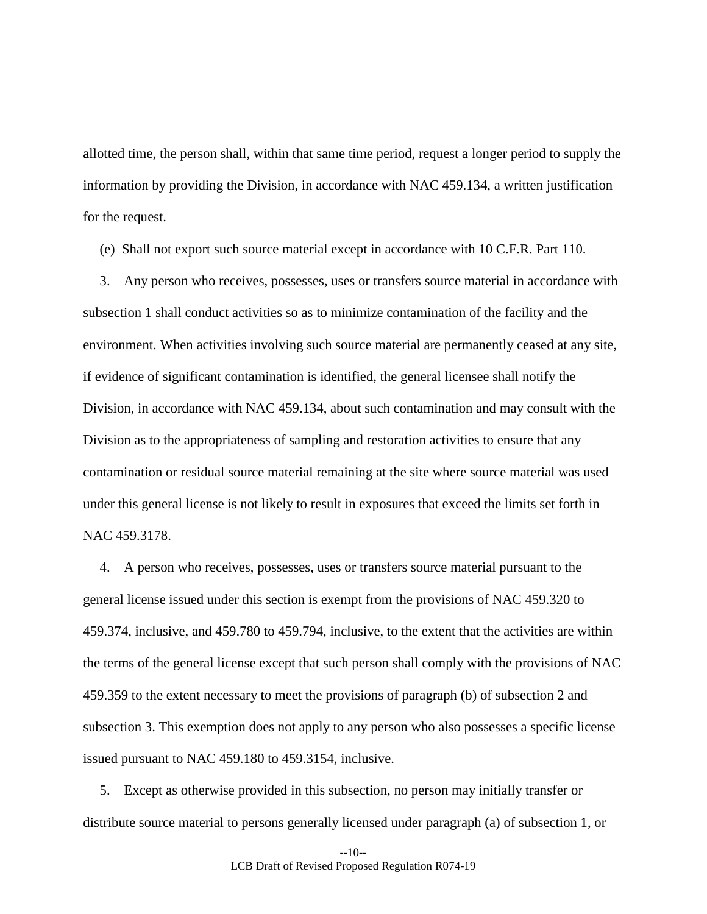allotted time, the person shall, within that same time period, request a longer period to supply the information by providing the Division, in accordance with NAC 459.134, a written justification for the request.

(e) Shall not export such source material except in accordance with 10 C.F.R. Part 110.

3. Any person who receives, possesses, uses or transfers source material in accordance with subsection 1 shall conduct activities so as to minimize contamination of the facility and the environment. When activities involving such source material are permanently ceased at any site, if evidence of significant contamination is identified, the general licensee shall notify the Division, in accordance with NAC 459.134, about such contamination and may consult with the Division as to the appropriateness of sampling and restoration activities to ensure that any contamination or residual source material remaining at the site where source material was used under this general license is not likely to result in exposures that exceed the limits set forth in NAC 459.3178.

4. A person who receives, possesses, uses or transfers source material pursuant to the general license issued under this section is exempt from the provisions of NAC 459.320 to 459.374, inclusive, and 459.780 to 459.794, inclusive, to the extent that the activities are within the terms of the general license except that such person shall comply with the provisions of NAC 459.359 to the extent necessary to meet the provisions of paragraph (b) of subsection 2 and subsection 3. This exemption does not apply to any person who also possesses a specific license issued pursuant to NAC 459.180 to 459.3154, inclusive.

5. Except as otherwise provided in this subsection, no person may initially transfer or distribute source material to persons generally licensed under paragraph (a) of subsection 1, or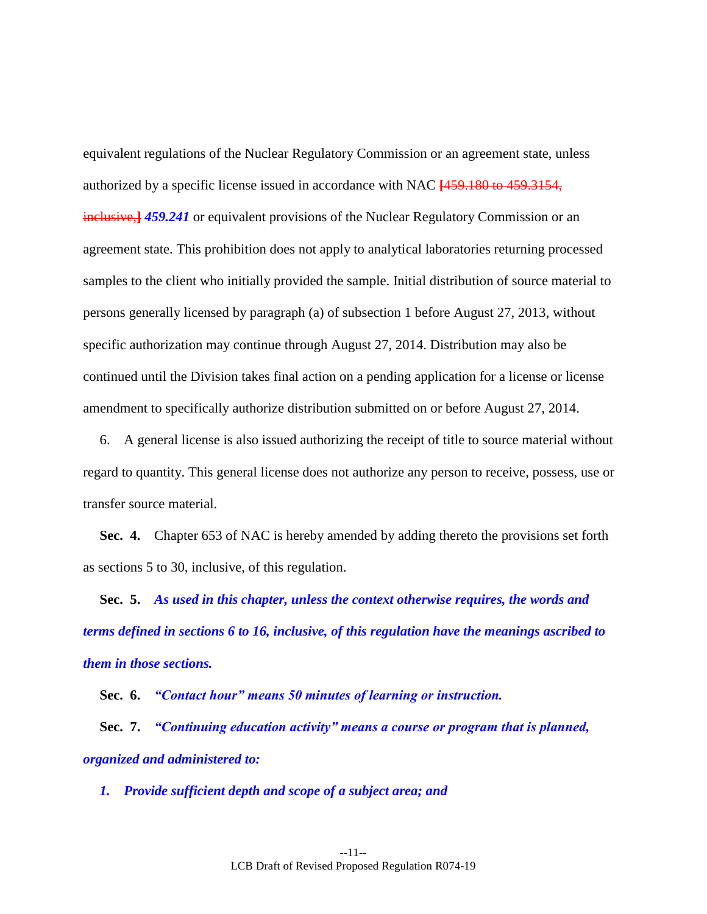equivalent regulations of the Nuclear Regulatory Commission or an agreement state, unless authorized by a specific license issued in accordance with NAC **[**459.180 to 459.3154, inclusive,**]** *459.241* or equivalent provisions of the Nuclear Regulatory Commission or an agreement state. This prohibition does not apply to analytical laboratories returning processed samples to the client who initially provided the sample. Initial distribution of source material to persons generally licensed by paragraph (a) of subsection 1 before August 27, 2013, without specific authorization may continue through August 27, 2014. Distribution may also be continued until the Division takes final action on a pending application for a license or license amendment to specifically authorize distribution submitted on or before August 27, 2014.

6. A general license is also issued authorizing the receipt of title to source material without regard to quantity. This general license does not authorize any person to receive, possess, use or transfer source material.

<span id="page-10-0"></span>**Sec. 4.** Chapter 653 of NAC is hereby amended by adding thereto the provisions set forth as sections [5](#page-10-1) to [30,](#page-26-0) inclusive, of this regulation.

<span id="page-10-1"></span>**Sec. 5.** *As used in this chapter, unless the context otherwise requires, the words and terms defined in sections [6](#page-10-2) to [16,](#page-12-1) inclusive, of this regulation have the meanings ascribed to them in those sections.*

<span id="page-10-2"></span>**Sec. 6.** *"Contact hour" means 50 minutes of learning or instruction.*

**Sec. 7.** *"Continuing education activity" means a course or program that is planned, organized and administered to:*

*1. Provide sufficient depth and scope of a subject area; and*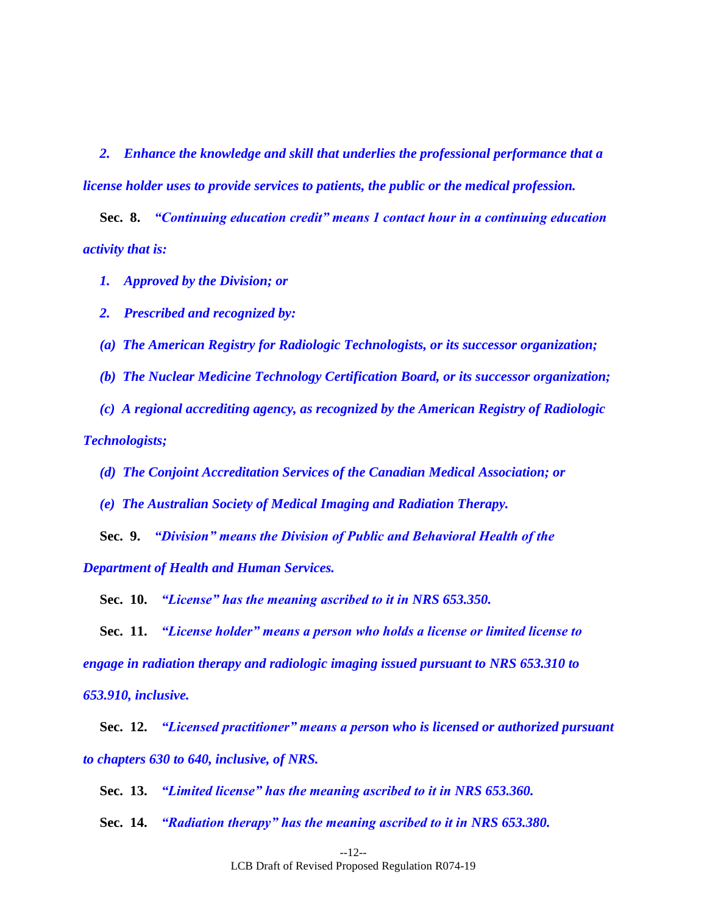*2. Enhance the knowledge and skill that underlies the professional performance that a license holder uses to provide services to patients, the public or the medical profession.*

**Sec. 8.** *"Continuing education credit" means 1 contact hour in a continuing education activity that is:*

*1. Approved by the Division; or*

*2. Prescribed and recognized by:*

*(a) The American Registry for Radiologic Technologists, or its successor organization;*

*(b) The Nuclear Medicine Technology Certification Board, or its successor organization;*

*(c) A regional accrediting agency, as recognized by the American Registry of Radiologic Technologists;*

*(d) The Conjoint Accreditation Services of the Canadian Medical Association; or*

*(e) The Australian Society of Medical Imaging and Radiation Therapy.*

**Sec. 9.** *"Division" means the Division of Public and Behavioral Health of the Department of Health and Human Services.*

**Sec. 10.** *"License" has the meaning ascribed to it in NRS 653.350.*

**Sec. 11.** *"License holder" means a person who holds a license or limited license to engage in radiation therapy and radiologic imaging issued pursuant to NRS 653.310 to 653.910, inclusive.*

**Sec. 12.** *"Licensed practitioner" means a person who is licensed or authorized pursuant to chapters 630 to 640, inclusive, of NRS.*

**Sec. 13.** *"Limited license" has the meaning ascribed to it in NRS 653.360.*

**Sec. 14.** *"Radiation therapy" has the meaning ascribed to it in NRS 653.380.*

--12-- LCB Draft of Revised Proposed Regulation R074-19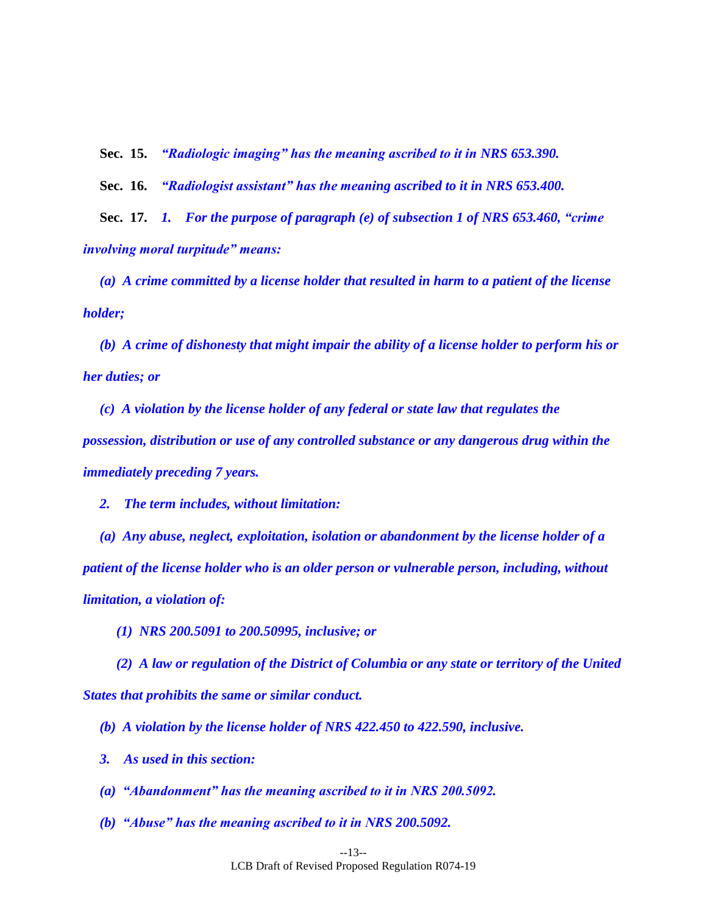**Sec. 15.** *"Radiologic imaging" has the meaning ascribed to it in NRS 653.390.*

<span id="page-12-1"></span><span id="page-12-0"></span>**Sec. 16.** *"Radiologist assistant" has the meaning ascribed to it in NRS 653.400.*

**Sec. 17.** *1. For the purpose of paragraph (e) of subsection 1 of NRS 653.460, "crime involving moral turpitude" means:*

*(a) A crime committed by a license holder that resulted in harm to a patient of the license holder;*

*(b) A crime of dishonesty that might impair the ability of a license holder to perform his or her duties; or*

*(c) A violation by the license holder of any federal or state law that regulates the possession, distribution or use of any controlled substance or any dangerous drug within the immediately preceding 7 years.*

*2. The term includes, without limitation:*

*(a) Any abuse, neglect, exploitation, isolation or abandonment by the license holder of a patient of the license holder who is an older person or vulnerable person, including, without limitation, a violation of:*

*(1) NRS 200.5091 to 200.50995, inclusive; or* 

*(2) A law or regulation of the District of Columbia or any state or territory of the United States that prohibits the same or similar conduct.*

*(b) A violation by the license holder of NRS 422.450 to 422.590, inclusive.*

*3. As used in this section:*

*(a) "Abandonment" has the meaning ascribed to it in NRS 200.5092.*

*(b) "Abuse" has the meaning ascribed to it in NRS 200.5092.*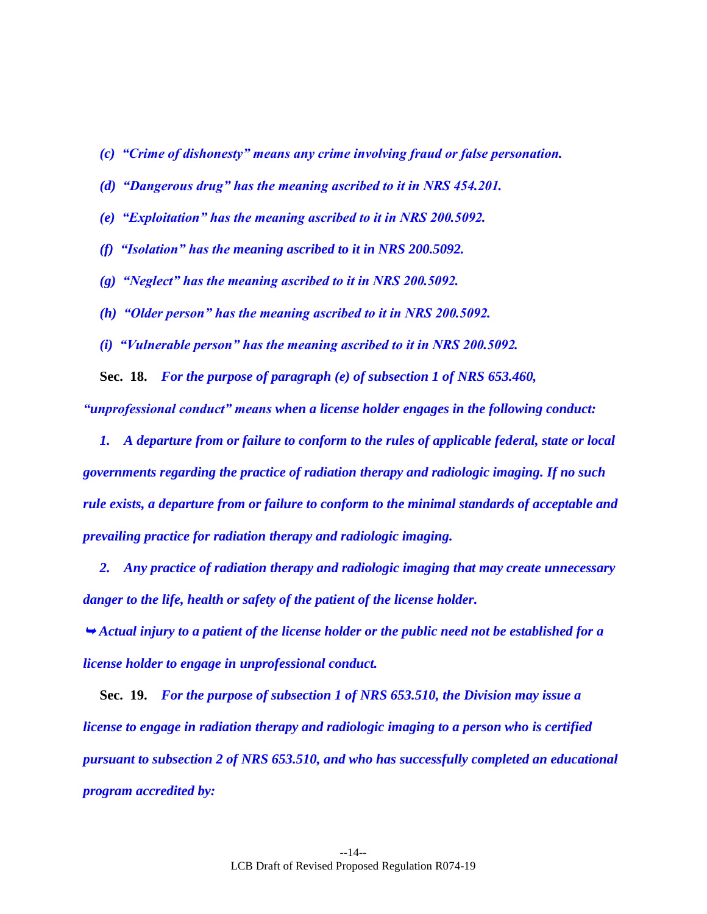- *(c) "Crime of dishonesty" means any crime involving fraud or false personation.*
- *(d) "Dangerous drug" has the meaning ascribed to it in NRS 454.201.*
- *(e) "Exploitation" has the meaning ascribed to it in NRS 200.5092.*
- *(f) "Isolation" has the meaning ascribed to it in NRS 200.5092.*
- *(g) "Neglect" has the meaning ascribed to it in NRS 200.5092.*
- *(h) "Older person" has the meaning ascribed to it in NRS 200.5092.*
- *(i) "Vulnerable person" has the meaning ascribed to it in NRS 200.5092.*

<span id="page-13-1"></span>**Sec. 18.** *For the purpose of paragraph (e) of subsection 1 of NRS 653.460,* 

*"unprofessional conduct" means when a license holder engages in the following conduct:*

*1. A departure from or failure to conform to the rules of applicable federal, state or local governments regarding the practice of radiation therapy and radiologic imaging. If no such rule exists, a departure from or failure to conform to the minimal standards of acceptable and prevailing practice for radiation therapy and radiologic imaging.*

*2. Any practice of radiation therapy and radiologic imaging that may create unnecessary danger to the life, health or safety of the patient of the license holder.*

 *Actual injury to a patient of the license holder or the public need not be established for a license holder to engage in unprofessional conduct.*

<span id="page-13-0"></span>**Sec. 19.** *For the purpose of subsection 1 of NRS 653.510, the Division may issue a license to engage in radiation therapy and radiologic imaging to a person who is certified pursuant to subsection 2 of NRS 653.510, and who has successfully completed an educational program accredited by:*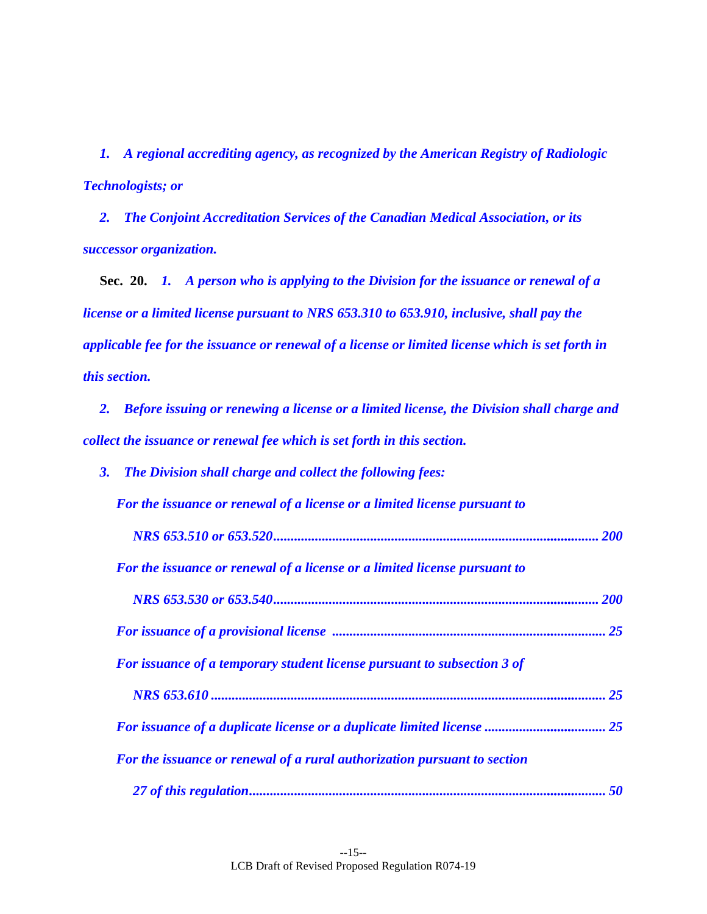*1. A regional accrediting agency, as recognized by the American Registry of Radiologic Technologists; or* 

 *2. The Conjoint Accreditation Services of the Canadian Medical Association, or its successor organization.* 

<span id="page-14-0"></span> **Sec. 20.** *1. A person who is applying to the Division for the issuance or renewal of a license or a limited license pursuant to NRS 653.310 to 653.910, inclusive, shall pay the applicable fee for the issuance or renewal of a license or limited license which is set forth in this section.* 

 *2. Before issuing or renewing a license or a limited license, the Division shall charge and collect the issuance or renewal fee which is set forth in this section.* 

| The Division shall charge and collect the following fees:<br><b>3.</b>    |    |
|---------------------------------------------------------------------------|----|
| For the issuance or renewal of a license or a limited license pursuant to |    |
|                                                                           |    |
| For the issuance or renewal of a license or a limited license pursuant to |    |
|                                                                           |    |
|                                                                           |    |
| For issuance of a temporary student license pursuant to subsection 3 of   |    |
|                                                                           | 25 |
|                                                                           |    |
| For the issuance or renewal of a rural authorization pursuant to section  |    |
|                                                                           |    |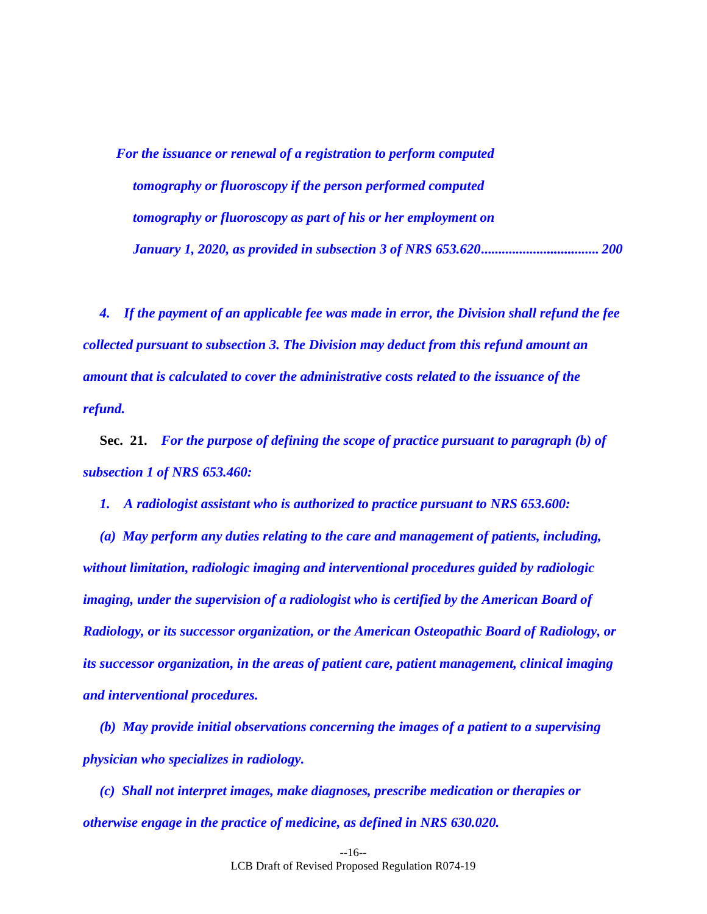*For the issuance or renewal of a registration to perform computed tomography or fluoroscopy if the person performed computed tomography or fluoroscopy as part of his or her employment on January 1, 2020, as provided in subsection 3 of NRS 653.620 .......................................... 200*

*4. If the payment of an applicable fee was made in error, the Division shall refund the fee collected pursuant to subsection 3. The Division may deduct from this refund amount an amount that is calculated to cover the administrative costs related to the issuance of the refund.*

<span id="page-15-0"></span>**Sec. 21.** *For the purpose of defining the scope of practice pursuant to paragraph (b) of subsection 1 of NRS 653.460:*

*1. A radiologist assistant who is authorized to practice pursuant to NRS 653.600:*

*(a) May perform any duties relating to the care and management of patients, including, without limitation, radiologic imaging and interventional procedures guided by radiologic imaging, under the supervision of a radiologist who is certified by the American Board of Radiology, or its successor organization, or the American Osteopathic Board of Radiology, or its successor organization, in the areas of patient care, patient management, clinical imaging and interventional procedures.*

*(b) May provide initial observations concerning the images of a patient to a supervising physician who specializes in radiology.*

*(c) Shall not interpret images, make diagnoses, prescribe medication or therapies or otherwise engage in the practice of medicine, as defined in NRS 630.020.*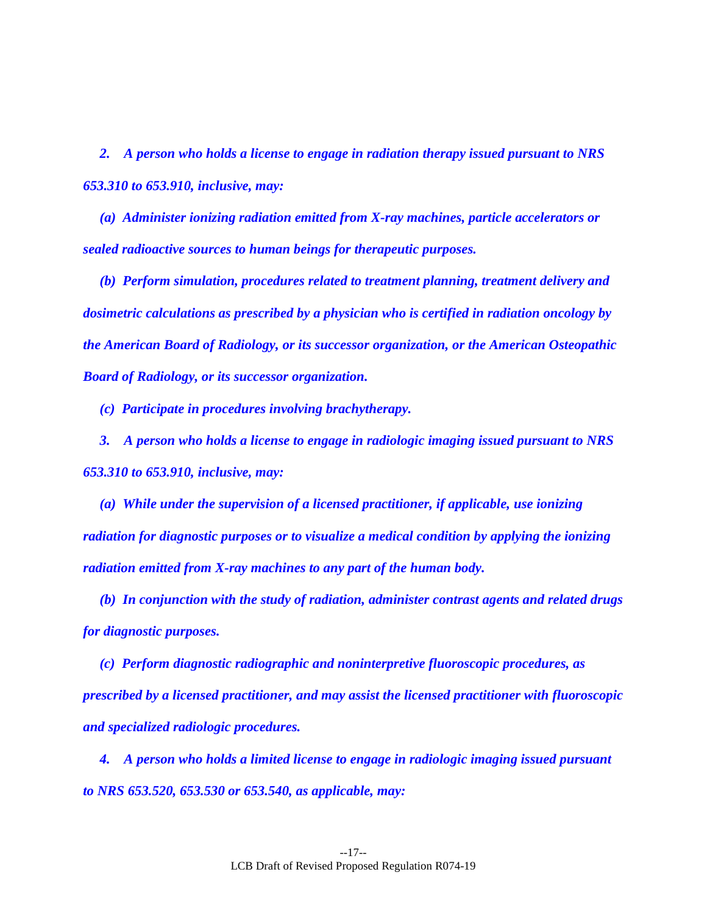*2. A person who holds a license to engage in radiation therapy issued pursuant to NRS 653.310 to 653.910, inclusive, may:*

*(a) Administer ionizing radiation emitted from X-ray machines, particle accelerators or sealed radioactive sources to human beings for therapeutic purposes.*

*(b) Perform simulation, procedures related to treatment planning, treatment delivery and dosimetric calculations as prescribed by a physician who is certified in radiation oncology by the American Board of Radiology, or its successor organization, or the American Osteopathic Board of Radiology, or its successor organization.*

*(c) Participate in procedures involving brachytherapy.*

*3. A person who holds a license to engage in radiologic imaging issued pursuant to NRS 653.310 to 653.910, inclusive, may:*

*(a) While under the supervision of a licensed practitioner, if applicable, use ionizing radiation for diagnostic purposes or to visualize a medical condition by applying the ionizing radiation emitted from X-ray machines to any part of the human body.*

*(b) In conjunction with the study of radiation, administer contrast agents and related drugs for diagnostic purposes.*

*(c) Perform diagnostic radiographic and noninterpretive fluoroscopic procedures, as prescribed by a licensed practitioner, and may assist the licensed practitioner with fluoroscopic and specialized radiologic procedures.*

*4. A person who holds a limited license to engage in radiologic imaging issued pursuant to NRS 653.520, 653.530 or 653.540, as applicable, may:*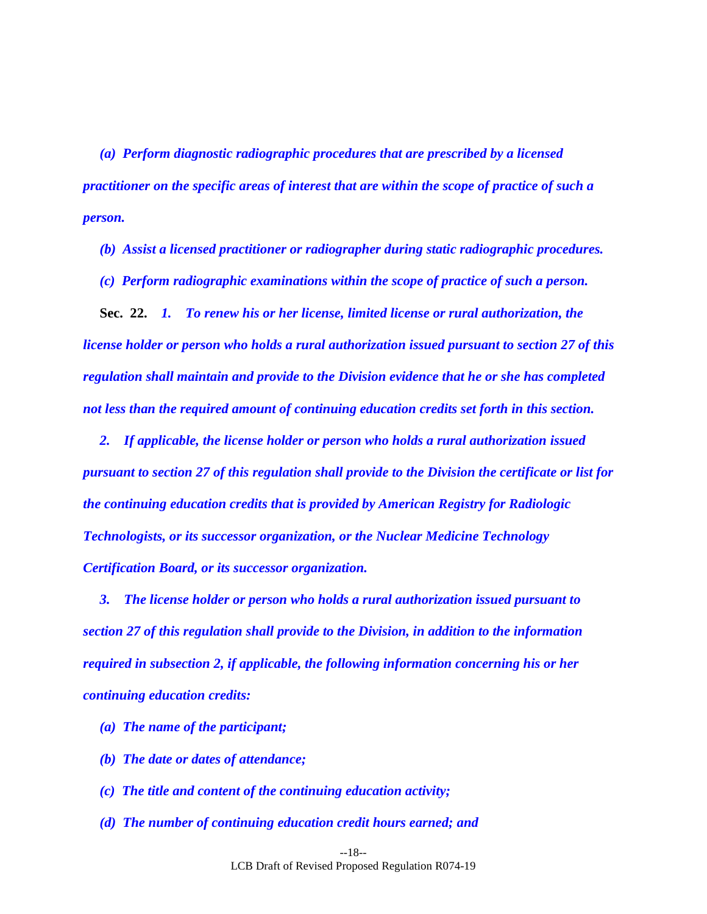*(a) Perform diagnostic radiographic procedures that are prescribed by a licensed practitioner on the specific areas of interest that are within the scope of practice of such a person.*

*(b) Assist a licensed practitioner or radiographer during static radiographic procedures.*

<span id="page-17-0"></span>*(c) Perform radiographic examinations within the scope of practice of such a person.*

**Sec. 22.** *1. To renew his or her license, limited license or rural authorization, the license holder or person who holds a rural authorization issued pursuant to section [27](#page-23-1) of this regulation shall maintain and provide to the Division evidence that he or she has completed not less than the required amount of continuing education credits set forth in this section.*

*2. If applicable, the license holder or person who holds a rural authorization issued pursuant to section [27](#page-23-1) of this regulation shall provide to the Division the certificate or list for the continuing education credits that is provided by American Registry for Radiologic Technologists, or its successor organization, or the Nuclear Medicine Technology Certification Board, or its successor organization.* 

*3. The license holder or person who holds a rural authorization issued pursuant to section [27](#page-23-1) of this regulation shall provide to the Division, in addition to the information required in subsection 2, if applicable, the following information concerning his or her continuing education credits:*

- *(a) The name of the participant;*
- *(b) The date or dates of attendance;*
- *(c) The title and content of the continuing education activity;*
- *(d) The number of continuing education credit hours earned; and*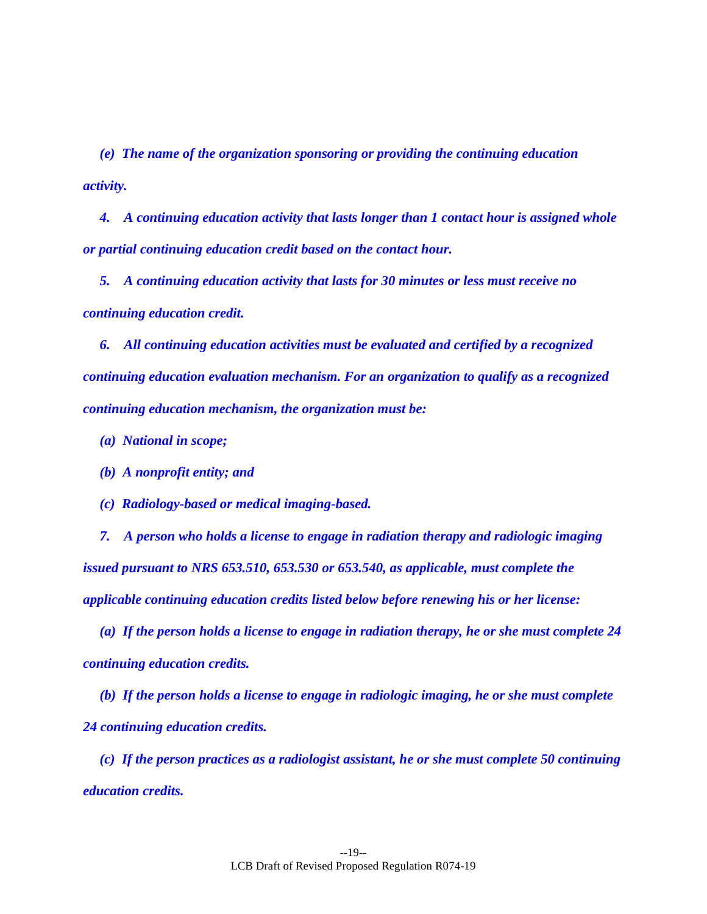*(e) The name of the organization sponsoring or providing the continuing education activity.*

*4. A continuing education activity that lasts longer than 1 contact hour is assigned whole or partial continuing education credit based on the contact hour.* 

*5. A continuing education activity that lasts for 30 minutes or less must receive no continuing education credit.*

*6. All continuing education activities must be evaluated and certified by a recognized continuing education evaluation mechanism. For an organization to qualify as a recognized continuing education mechanism, the organization must be:*

- *(a) National in scope;*
- *(b) A nonprofit entity; and*
- *(c) Radiology-based or medical imaging-based.*

*7. A person who holds a license to engage in radiation therapy and radiologic imaging issued pursuant to NRS 653.510, 653.530 or 653.540, as applicable, must complete the applicable continuing education credits listed below before renewing his or her license:*

*(a) If the person holds a license to engage in radiation therapy, he or she must complete 24 continuing education credits.*

*(b) If the person holds a license to engage in radiologic imaging, he or she must complete 24 continuing education credits.*

*(c) If the person practices as a radiologist assistant, he or she must complete 50 continuing education credits.*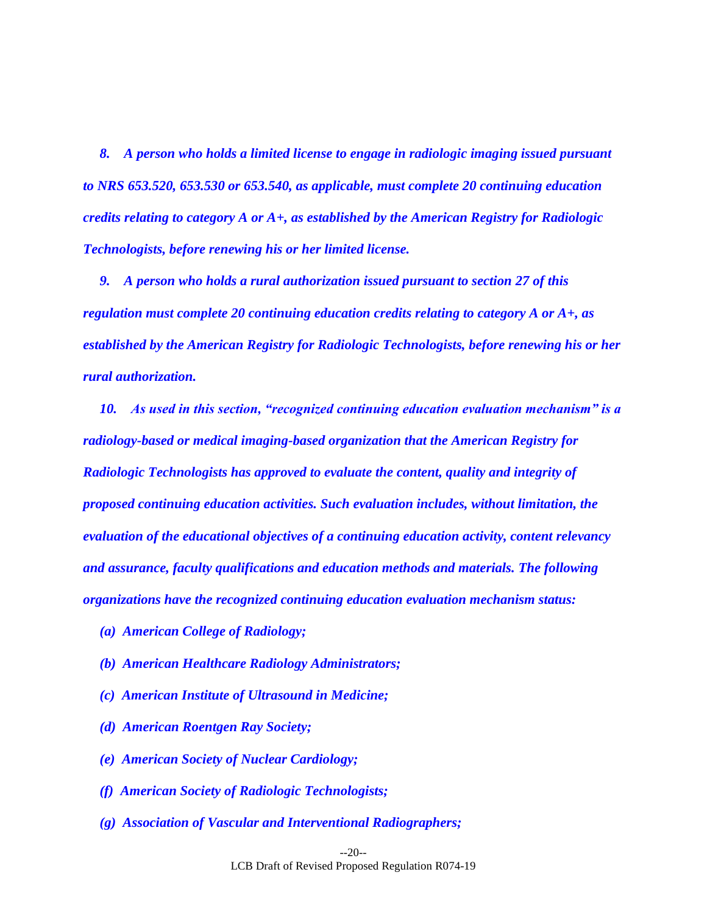*8. A person who holds a limited license to engage in radiologic imaging issued pursuant to NRS 653.520, 653.530 or 653.540, as applicable, must complete 20 continuing education credits relating to category A or A+, as established by the American Registry for Radiologic Technologists, before renewing his or her limited license.*

*9. A person who holds a rural authorization issued pursuant to section [27](#page-23-1) of this regulation must complete 20 continuing education credits relating to category A or A+, as established by the American Registry for Radiologic Technologists, before renewing his or her rural authorization.*

*10. As used in this section, "recognized continuing education evaluation mechanism" is a radiology-based or medical imaging-based organization that the American Registry for Radiologic Technologists has approved to evaluate the content, quality and integrity of proposed continuing education activities. Such evaluation includes, without limitation, the evaluation of the educational objectives of a continuing education activity, content relevancy and assurance, faculty qualifications and education methods and materials. The following organizations have the recognized continuing education evaluation mechanism status:*

- *(a) American College of Radiology;*
- *(b) American Healthcare Radiology Administrators;*
- *(c) American Institute of Ultrasound in Medicine;*
- *(d) American Roentgen Ray Society;*
- *(e) American Society of Nuclear Cardiology;*
- *(f) American Society of Radiologic Technologists;*
- *(g) Association of Vascular and Interventional Radiographers;*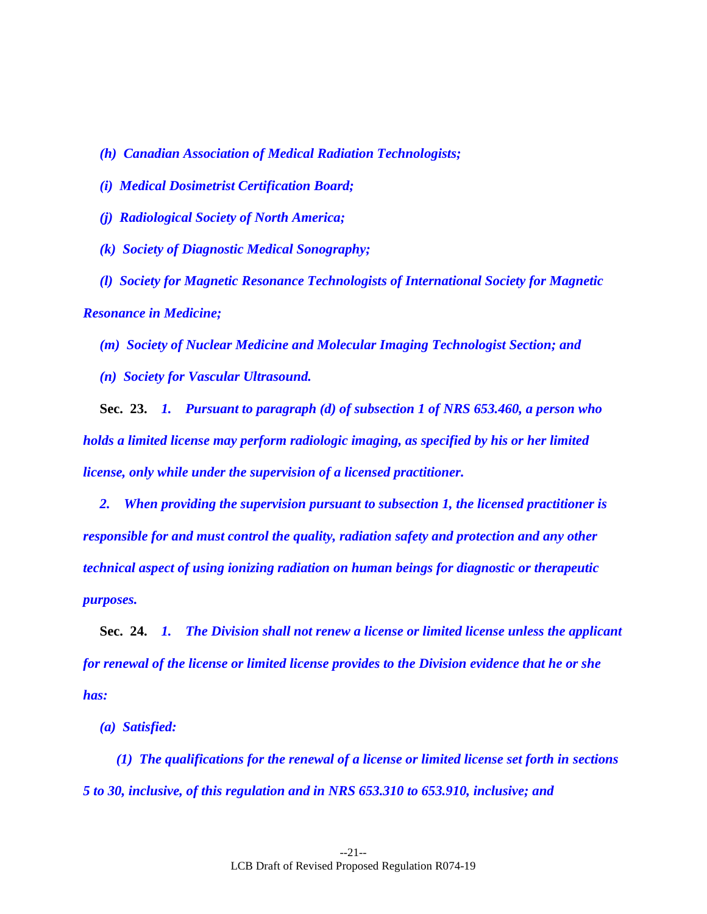- *(h) Canadian Association of Medical Radiation Technologists;*
- *(i) Medical Dosimetrist Certification Board;*
- *(j) Radiological Society of North America;*
- *(k) Society of Diagnostic Medical Sonography;*
- *(l) Society for Magnetic Resonance Technologists of International Society for Magnetic Resonance in Medicine;*
	- *(m) Society of Nuclear Medicine and Molecular Imaging Technologist Section; and*
	- *(n) Society for Vascular Ultrasound.*

<span id="page-20-0"></span>**Sec. 23.** *1. Pursuant to paragraph (d) of subsection 1 of NRS 653.460, a person who holds a limited license may perform radiologic imaging, as specified by his or her limited license, only while under the supervision of a licensed practitioner.*

*2. When providing the supervision pursuant to subsection 1, the licensed practitioner is responsible for and must control the quality, radiation safety and protection and any other technical aspect of using ionizing radiation on human beings for diagnostic or therapeutic purposes.*

<span id="page-20-1"></span>**Sec. 24.** *1. The Division shall not renew a license or limited license unless the applicant for renewal of the license or limited license provides to the Division evidence that he or she has:*

*(a) Satisfied:*

*(1) The qualifications for the renewal of a license or limited license set forth in sections [5](#page-10-1) to [30,](#page-26-0) inclusive, of this regulation and in NRS 653.310 to 653.910, inclusive; and*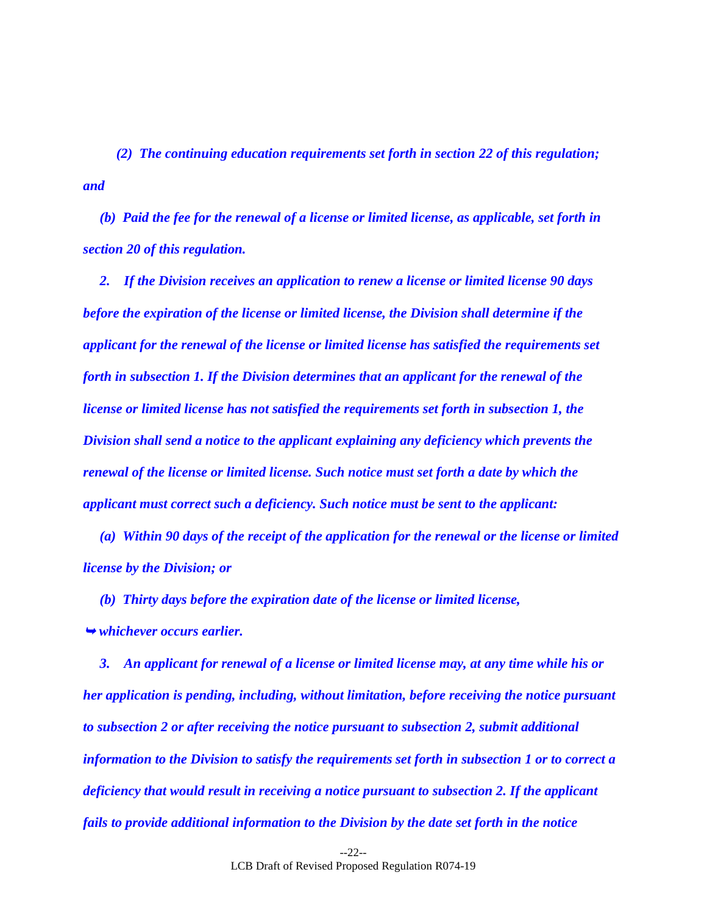*(2) The continuing education requirements set forth in section [22](#page-17-0) of this regulation; and*

*(b) Paid the fee for the renewal of a license or limited license, as applicable, set forth in section [20](#page-14-0) of this regulation.*

*2. If the Division receives an application to renew a license or limited license 90 days before the expiration of the license or limited license, the Division shall determine if the applicant for the renewal of the license or limited license has satisfied the requirements set forth in subsection 1. If the Division determines that an applicant for the renewal of the license or limited license has not satisfied the requirements set forth in subsection 1, the Division shall send a notice to the applicant explaining any deficiency which prevents the renewal of the license or limited license. Such notice must set forth a date by which the applicant must correct such a deficiency. Such notice must be sent to the applicant:*

*(a) Within 90 days of the receipt of the application for the renewal or the license or limited license by the Division; or*

*(b) Thirty days before the expiration date of the license or limited license, whichever occurs earlier.*

*3. An applicant for renewal of a license or limited license may, at any time while his or her application is pending, including, without limitation, before receiving the notice pursuant to subsection 2 or after receiving the notice pursuant to subsection 2, submit additional information to the Division to satisfy the requirements set forth in subsection 1 or to correct a deficiency that would result in receiving a notice pursuant to subsection 2. If the applicant fails to provide additional information to the Division by the date set forth in the notice*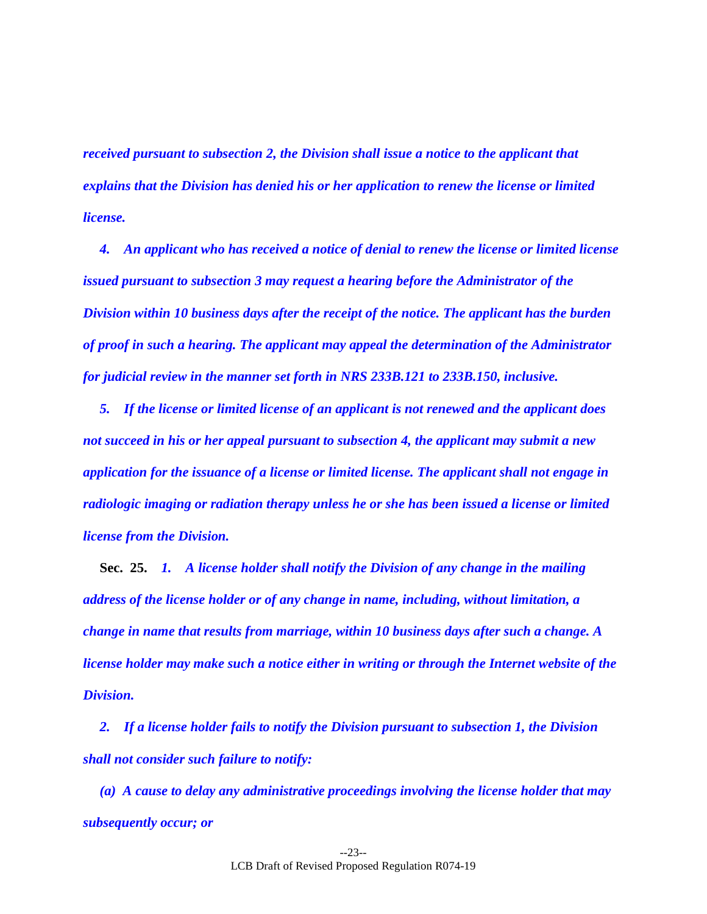*received pursuant to subsection 2, the Division shall issue a notice to the applicant that explains that the Division has denied his or her application to renew the license or limited license.* 

*4. An applicant who has received a notice of denial to renew the license or limited license issued pursuant to subsection 3 may request a hearing before the Administrator of the Division within 10 business days after the receipt of the notice. The applicant has the burden of proof in such a hearing. The applicant may appeal the determination of the Administrator for judicial review in the manner set forth in NRS 233B.121 to 233B.150, inclusive.*

*5. If the license or limited license of an applicant is not renewed and the applicant does not succeed in his or her appeal pursuant to subsection 4, the applicant may submit a new application for the issuance of a license or limited license. The applicant shall not engage in radiologic imaging or radiation therapy unless he or she has been issued a license or limited license from the Division.*

<span id="page-22-0"></span>**Sec. 25.** *1. A license holder shall notify the Division of any change in the mailing address of the license holder or of any change in name, including, without limitation, a change in name that results from marriage, within 10 business days after such a change. A license holder may make such a notice either in writing or through the Internet website of the Division.*

*2. If a license holder fails to notify the Division pursuant to subsection 1, the Division shall not consider such failure to notify:*

*(a) A cause to delay any administrative proceedings involving the license holder that may subsequently occur; or*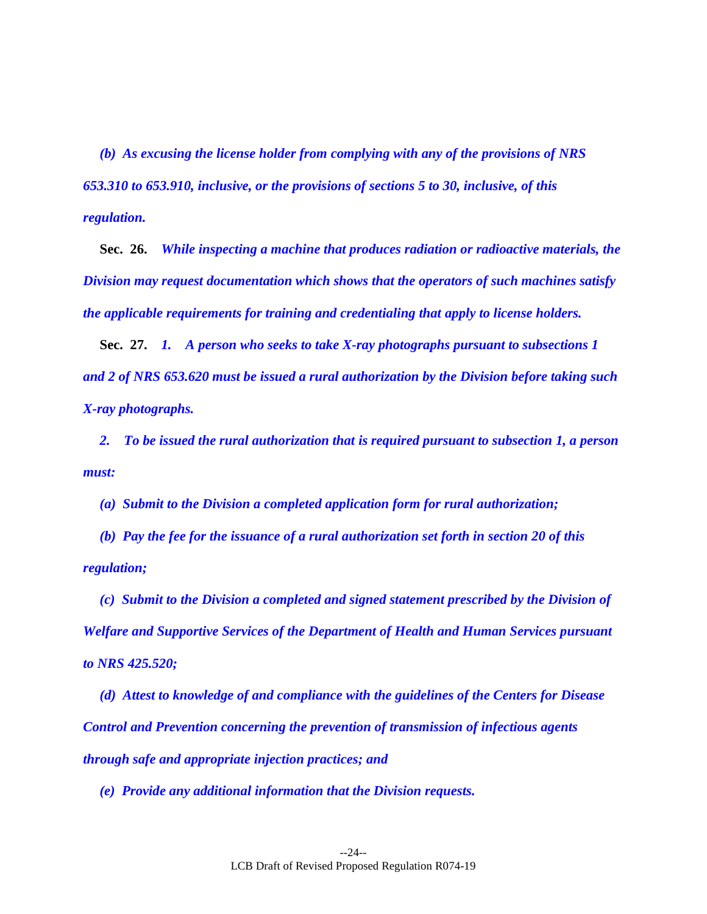*(b) As excusing the license holder from complying with any of the provisions of NRS 653.310 to 653.910, inclusive, or the provisions of sections [5](#page-10-1) to [30,](#page-26-0) inclusive, of this regulation.*

<span id="page-23-0"></span>**Sec. 26.** *While inspecting a machine that produces radiation or radioactive materials, the Division may request documentation which shows that the operators of such machines satisfy the applicable requirements for training and credentialing that apply to license holders.*

<span id="page-23-1"></span>**Sec. 27.** *1. A person who seeks to take X-ray photographs pursuant to subsections 1 and 2 of NRS 653.620 must be issued a rural authorization by the Division before taking such X-ray photographs.*

*2. To be issued the rural authorization that is required pursuant to subsection 1, a person must:*

*(a) Submit to the Division a completed application form for rural authorization;*

*(b) Pay the fee for the issuance of a rural authorization set forth in section [20](#page-14-0) of this regulation;* 

*(c) Submit to the Division a completed and signed statement prescribed by the Division of Welfare and Supportive Services of the Department of Health and Human Services pursuant to NRS 425.520;*

*(d) Attest to knowledge of and compliance with the guidelines of the Centers for Disease Control and Prevention concerning the prevention of transmission of infectious agents through safe and appropriate injection practices; and*

*(e) Provide any additional information that the Division requests.*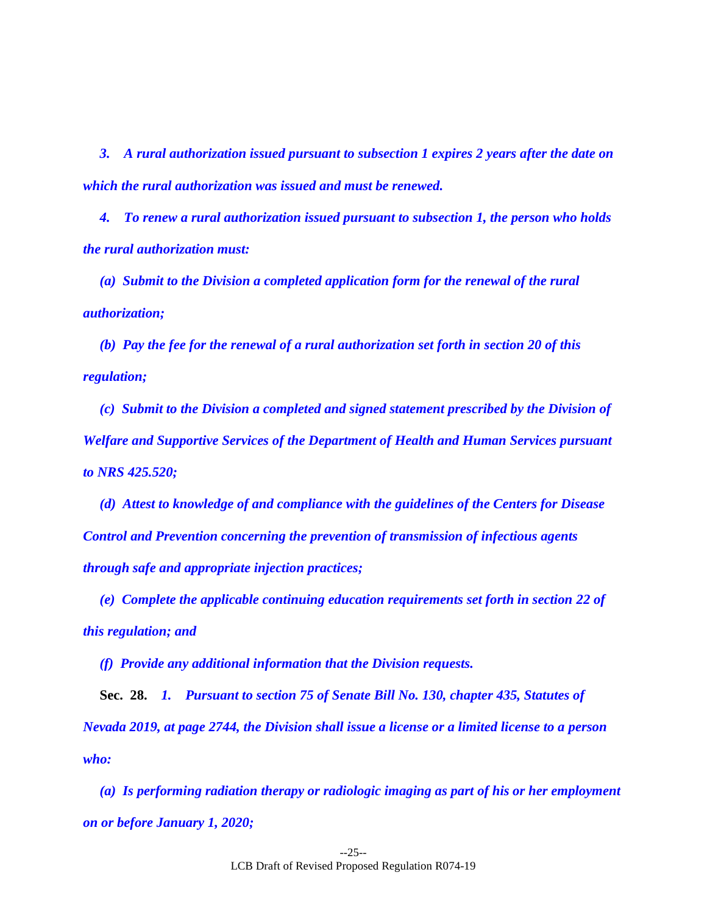*3. A rural authorization issued pursuant to subsection 1 expires 2 years after the date on which the rural authorization was issued and must be renewed.*

*4. To renew a rural authorization issued pursuant to subsection 1, the person who holds the rural authorization must:*

*(a) Submit to the Division a completed application form for the renewal of the rural authorization;*

*(b) Pay the fee for the renewal of a rural authorization set forth in section [20](#page-14-0) of this regulation;*

*(c) Submit to the Division a completed and signed statement prescribed by the Division of Welfare and Supportive Services of the Department of Health and Human Services pursuant to NRS 425.520;*

*(d) Attest to knowledge of and compliance with the guidelines of the Centers for Disease Control and Prevention concerning the prevention of transmission of infectious agents through safe and appropriate injection practices;* 

*(e) Complete the applicable continuing education requirements set forth in section [22](#page-17-0) of this regulation; and*

<span id="page-24-0"></span>*(f) Provide any additional information that the Division requests.*

**Sec. 28.** *1. Pursuant to section 75 of Senate Bill No. 130, chapter 435, Statutes of Nevada 2019, at page 2744, the Division shall issue a license or a limited license to a person who:*

*(a) Is performing radiation therapy or radiologic imaging as part of his or her employment on or before January 1, 2020;*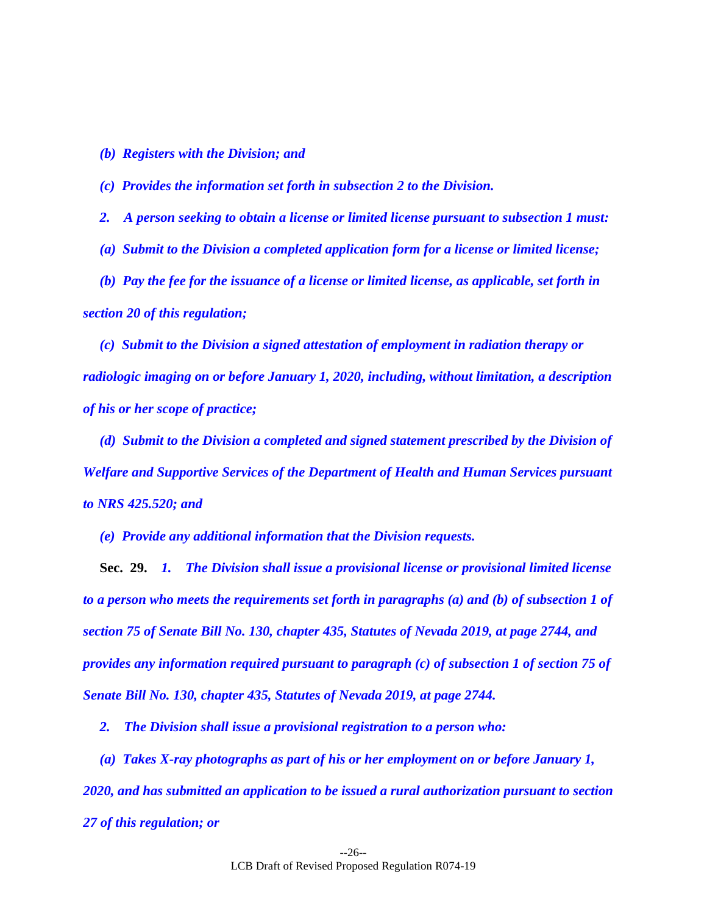*(b) Registers with the Division; and*

*(c) Provides the information set forth in subsection 2 to the Division.*

*2. A person seeking to obtain a license or limited license pursuant to subsection 1 must:*

(a) *Submit to the Division a completed application form for a license or limited license;* 

*(b) Pay the fee for the issuance of a license or limited license, as applicable, set forth in section [20](#page-14-0) of this regulation;*

*(c) Submit to the Division a signed attestation of employment in radiation therapy or radiologic imaging on or before January 1, 2020, including, without limitation, a description of his or her scope of practice;*

*(d) Submit to the Division a completed and signed statement prescribed by the Division of Welfare and Supportive Services of the Department of Health and Human Services pursuant to NRS 425.520; and*

<span id="page-25-0"></span>*(e) Provide any additional information that the Division requests.*

**Sec. 29.** *1. The Division shall issue a provisional license or provisional limited license to a person who meets the requirements set forth in paragraphs (a) and (b) of subsection 1 of section 75 of Senate Bill No. 130, chapter 435, Statutes of Nevada 2019, at page 2744, and provides any information required pursuant to paragraph (c) of subsection 1 of section 75 of Senate Bill No. 130, chapter 435, Statutes of Nevada 2019, at page 2744.*

*2. The Division shall issue a provisional registration to a person who:*

*(a) Takes X-ray photographs as part of his or her employment on or before January 1, 2020, and has submitted an application to be issued a rural authorization pursuant to section [27](#page-23-1) of this regulation; or*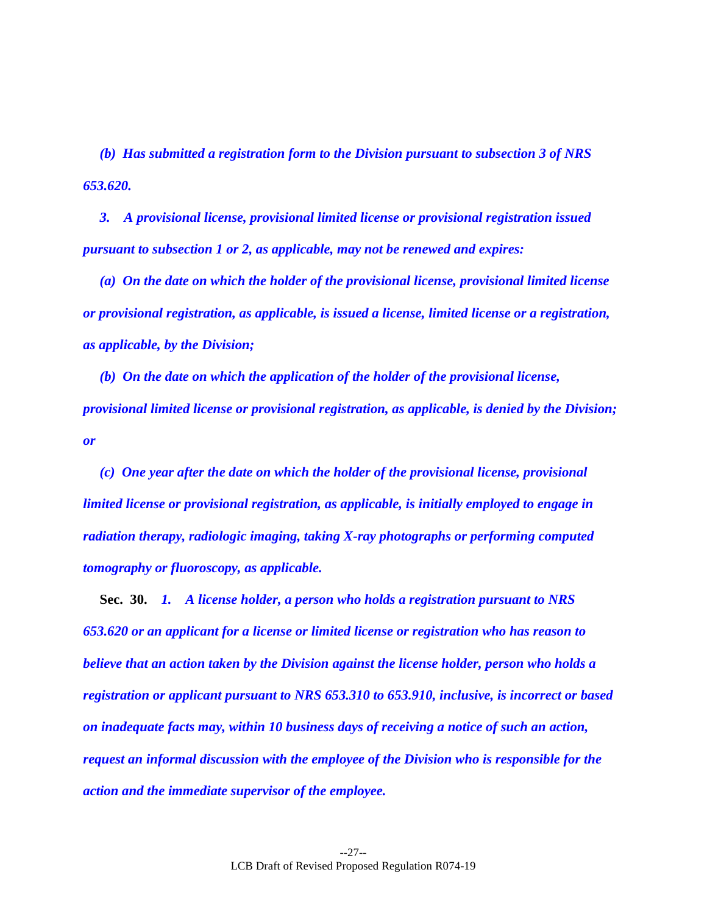*(b) Has submitted a registration form to the Division pursuant to subsection 3 of NRS 653.620.*

*3. A provisional license, provisional limited license or provisional registration issued pursuant to subsection 1 or 2, as applicable, may not be renewed and expires:*

*(a) On the date on which the holder of the provisional license, provisional limited license or provisional registration, as applicable, is issued a license, limited license or a registration, as applicable, by the Division;*

*(b) On the date on which the application of the holder of the provisional license, provisional limited license or provisional registration, as applicable, is denied by the Division; or*

*(c) One year after the date on which the holder of the provisional license, provisional limited license or provisional registration, as applicable, is initially employed to engage in radiation therapy, radiologic imaging, taking X-ray photographs or performing computed tomography or fluoroscopy, as applicable.*

<span id="page-26-0"></span>**Sec. 30.** *1. A license holder, a person who holds a registration pursuant to NRS 653.620 or an applicant for a license or limited license or registration who has reason to believe that an action taken by the Division against the license holder, person who holds a registration or applicant pursuant to NRS 653.310 to 653.910, inclusive, is incorrect or based on inadequate facts may, within 10 business days of receiving a notice of such an action, request an informal discussion with the employee of the Division who is responsible for the action and the immediate supervisor of the employee.*